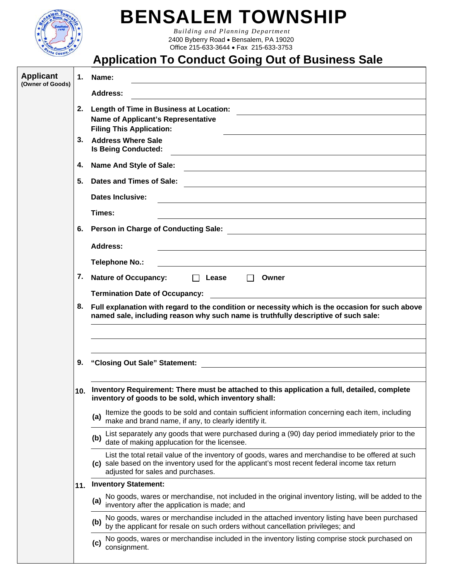

## **BENSALEM TOWNSHIP**

 *Building and Planning Department*  2400 Byberry Road • Bensalem, PA 19020 Office 215-633-3644 Fax 215-633-3753

## **Application To Conduct Going Out of Business Sale**

| <b>Applicant</b><br>(Owner of Goods) |                                                                                                                                                           | 1. Name:                                                                                                                                                                                                                                  |  |  |  |
|--------------------------------------|-----------------------------------------------------------------------------------------------------------------------------------------------------------|-------------------------------------------------------------------------------------------------------------------------------------------------------------------------------------------------------------------------------------------|--|--|--|
|                                      |                                                                                                                                                           | <b>Address:</b>                                                                                                                                                                                                                           |  |  |  |
|                                      | <b>Length of Time in Business at Location:</b><br>2.                                                                                                      |                                                                                                                                                                                                                                           |  |  |  |
|                                      | Name of Applicant's Representative<br><b>Filing This Application:</b>                                                                                     |                                                                                                                                                                                                                                           |  |  |  |
|                                      | 3. Address Where Sale                                                                                                                                     |                                                                                                                                                                                                                                           |  |  |  |
|                                      | <b>Is Being Conducted:</b>                                                                                                                                |                                                                                                                                                                                                                                           |  |  |  |
|                                      | 4.                                                                                                                                                        | Name And Style of Sale:                                                                                                                                                                                                                   |  |  |  |
|                                      | Dates and Times of Sale:                                                                                                                                  |                                                                                                                                                                                                                                           |  |  |  |
|                                      | <b>Dates Inclusive:</b>                                                                                                                                   |                                                                                                                                                                                                                                           |  |  |  |
|                                      |                                                                                                                                                           | Times:                                                                                                                                                                                                                                    |  |  |  |
|                                      |                                                                                                                                                           | 6. Person in Charge of Conducting Sale:                                                                                                                                                                                                   |  |  |  |
|                                      |                                                                                                                                                           | <b>Address:</b>                                                                                                                                                                                                                           |  |  |  |
|                                      |                                                                                                                                                           | <b>Telephone No.:</b>                                                                                                                                                                                                                     |  |  |  |
|                                      | 7.                                                                                                                                                        | <b>Nature of Occupancy:</b><br>$\Box$ Lease<br>$\Box$<br>Owner                                                                                                                                                                            |  |  |  |
|                                      |                                                                                                                                                           |                                                                                                                                                                                                                                           |  |  |  |
|                                      | 8.                                                                                                                                                        | Full explanation with regard to the condition or necessity which is the occasion for such above                                                                                                                                           |  |  |  |
|                                      | named sale, including reason why such name is truthfully descriptive of such sale:                                                                        |                                                                                                                                                                                                                                           |  |  |  |
|                                      |                                                                                                                                                           |                                                                                                                                                                                                                                           |  |  |  |
|                                      |                                                                                                                                                           |                                                                                                                                                                                                                                           |  |  |  |
|                                      | 9.                                                                                                                                                        | "Closing Out Sale" Statement:<br><u> 1980 - Jan Stein, amerikansk politiker (d. 1980)</u>                                                                                                                                                 |  |  |  |
|                                      |                                                                                                                                                           |                                                                                                                                                                                                                                           |  |  |  |
|                                      | 10. Inventory Requirement: There must be attached to this application a full, detailed, complete<br>inventory of goods to be sold, which inventory shall: |                                                                                                                                                                                                                                           |  |  |  |
|                                      |                                                                                                                                                           | Itemize the goods to be sold and contain sufficient information concerning each item, including<br>(a)<br>make and brand name, if any, to clearly identify it.                                                                            |  |  |  |
|                                      |                                                                                                                                                           | List separately any goods that were purchased during a (90) day period immediately prior to the<br>(b)<br>date of making applucation for the licensee.                                                                                    |  |  |  |
|                                      |                                                                                                                                                           | List the total retail value of the inventory of goods, wares and merchandise to be offered at such<br>(c) sale based on the inventory used for the applicant's most recent federal income tax return<br>adjusted for sales and purchases. |  |  |  |
|                                      | 11.                                                                                                                                                       | <b>Inventory Statement:</b>                                                                                                                                                                                                               |  |  |  |
|                                      |                                                                                                                                                           | No goods, wares or merchandise, not included in the original inventory listing, will be added to the<br>(a)<br>inventory after the application is made; and                                                                               |  |  |  |
|                                      |                                                                                                                                                           | No goods, wares or merchandise included in the attached inventory listing have been purchased<br>(b)<br>by the applicant for resale on such orders without cancellation privileges; and                                                   |  |  |  |
|                                      |                                                                                                                                                           | No goods, wares or merchandise included in the inventory listing comprise stock purchased on<br>(c)<br>consignment.                                                                                                                       |  |  |  |